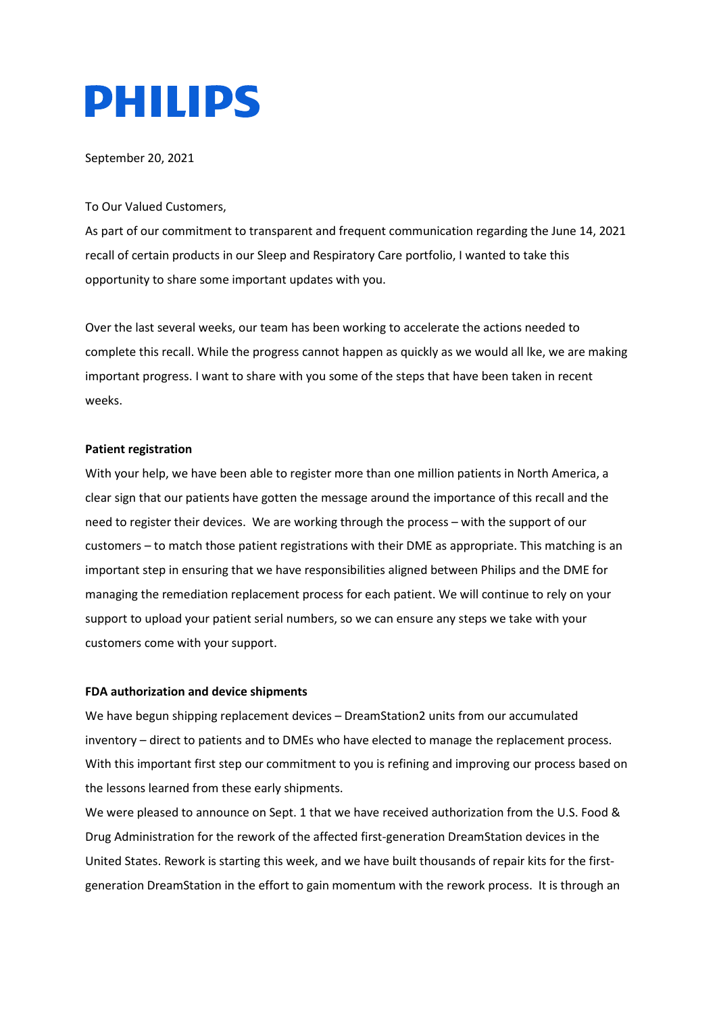# **PHILIPS**

September 20, 2021

## To Our Valued Customers,

As part of our commitment to transparent and frequent communication regarding the June 14, 2021 recall of certain products in our Sleep and Respiratory Care portfolio, I wanted to take this opportunity to share some important updates with you.

Over the last several weeks, our team has been working to accelerate the actions needed to complete this recall. While the progress cannot happen as quickly as we would all lke, we are making important progress. I want to share with you some of the steps that have been taken in recent weeks.

# **Patient registration**

With your help, we have been able to register more than one million patients in North America, a clear sign that our patients have gotten the message around the importance of this recall and the need to register their devices. We are working through the process – with the support of our customers – to match those patient registrations with their DME as appropriate. This matching is an important step in ensuring that we have responsibilities aligned between Philips and the DME for managing the remediation replacement process for each patient. We will continue to rely on your support to upload your patient serial numbers, so we can ensure any steps we take with your customers come with your support.

# **FDA authorization and device shipments**

We have begun shipping replacement devices – DreamStation2 units from our accumulated inventory – direct to patients and to DMEs who have elected to manage the replacement process. With this important first step our commitment to you is refining and improving our process based on the lessons learned from these early shipments.

We were pleased to announce on Sept. 1 that we have received authorization from the U.S. Food & Drug Administration for the rework of the affected first-generation DreamStation devices in the United States. Rework is starting this week, and we have built thousands of repair kits for the firstgeneration DreamStation in the effort to gain momentum with the rework process. It is through an